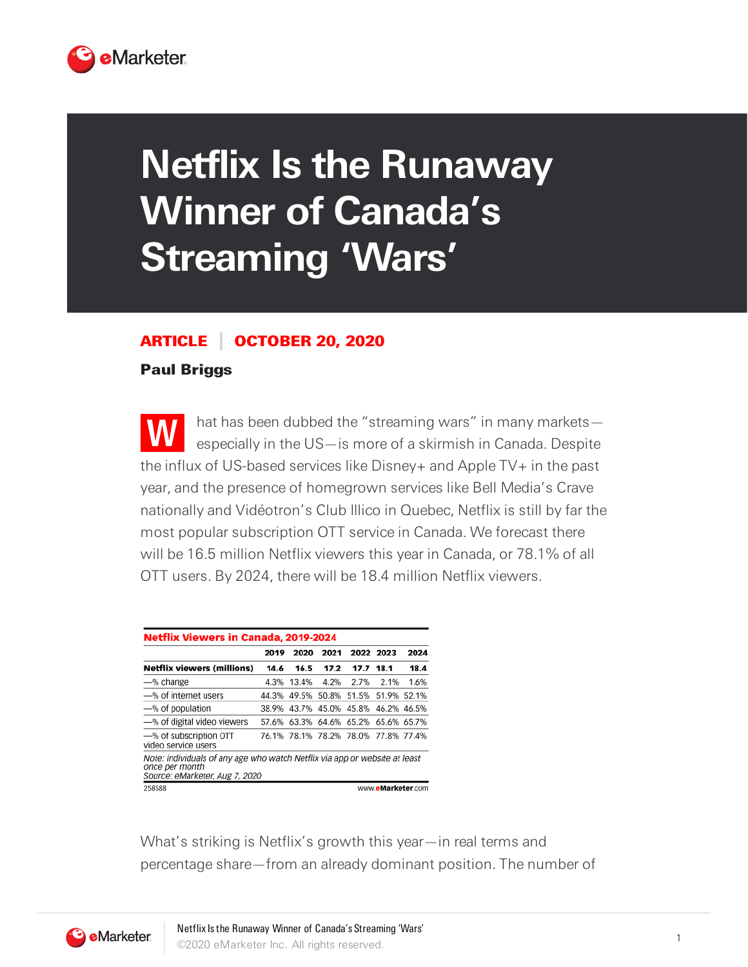

## **Netflix Is the Runaway Winner of Canada's Streaming 'Wars'**

## ARTICLE OCTOBER 20, 2020

## Paul Briggs

**W** hat has been dubbed the "streaming wars" in many markets especially in the US—is more of a skirmish in Canada. Despite the influx of US-based services like Disney+ and Apple TV+ in the past year, and the presence of homegrown services like Bell Media's Crave nationally and Vidéotron's Club Illico in Quebec, Netflix is still by far the most popular subscription OTT service in Canada. We forecast there will be 16.5 million Netflix viewers this year in Canada, or 78.1% of all OTT users. By 2024, there will be 18.4 million Netflix viewers.

| <b>Netflix Viewers in Canada, 2019-2024</b>                                                                                    |       |       |       |                               |                   |       |
|--------------------------------------------------------------------------------------------------------------------------------|-------|-------|-------|-------------------------------|-------------------|-------|
|                                                                                                                                | 2019  | 2020  | 2021  |                               | 2022 2023         | 2024  |
| <b>Netflix viewers (millions)</b>                                                                                              | 14.6  | 16.5  | 17.2  | 17.7                          | 18.1              | 18.4  |
| -% change                                                                                                                      | 4.3%  | 13.4% | 4.2%  | 2.7%                          | 2.1%              | 1.6%  |
| -% of internet users                                                                                                           | 44.3% | 49.5% | 50.8% | 51.5%                         | 51.9%             | 52.1% |
| -% of population                                                                                                               | 38.9% | 43.7% | 45.0% |                               | 45.8% 46.2%       | 46.5% |
| -% of digital video viewers                                                                                                    | 57.6% | 63.3% |       | 64.6% 65.2% 65.6% 65.7%       |                   |       |
| -% of subscription OTT<br>video service users                                                                                  | 76.1% |       |       | 78.1% 78.2% 78.0% 77.8% 77.4% |                   |       |
| Note: individuals of any age who watch Netflix via app or website at least<br>once per month<br>Source: eMarketer, Aug 7, 2020 |       |       |       |                               |                   |       |
| 258588                                                                                                                         |       |       |       |                               | www.eMarketer.com |       |

What's striking is Netflix's growth this year—in real terms and percentage share—from an already dominant position. The number of

**eMarketer**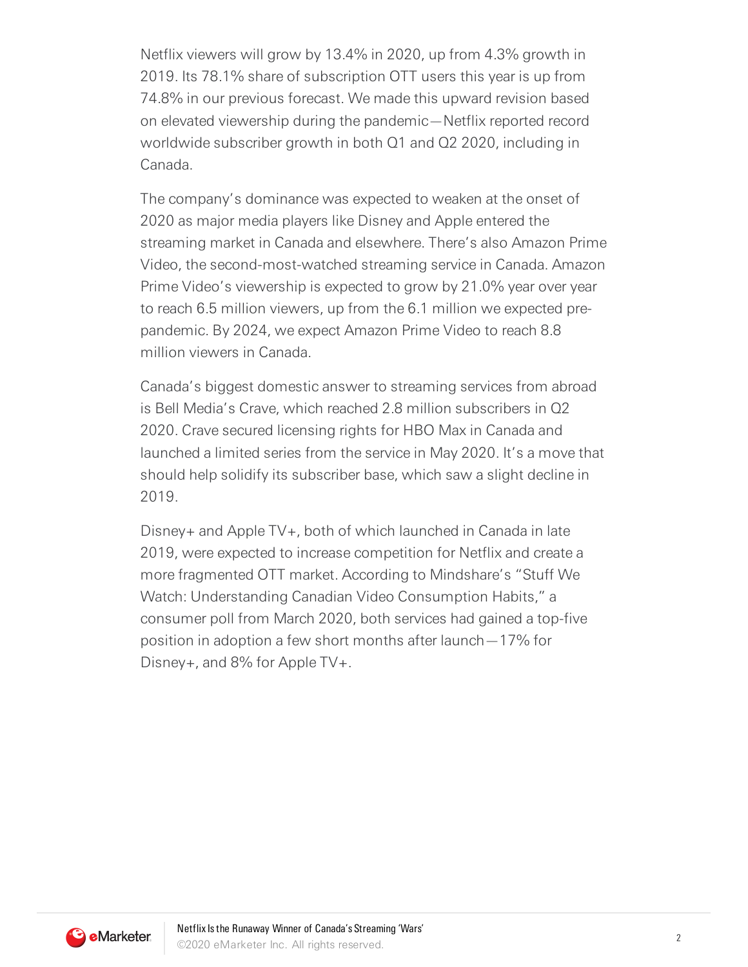Netflix viewers will grow by 13.4% in 2020, up from 4.3% growth in 2019. Its 78.1% share of subscription OTT users this year is up from 74.8% in our previous forecast. We made this upward revision based on elevated viewership during the pandemic—Netflix reported record worldwide subscriber growth in both Q1 and Q2 2020, including in Canada.

The company's dominance was expected to weaken at the onset of 2020 as major media players like Disney and Apple entered the streaming market in Canada and elsewhere. There's also Amazon Prime Video, the second-most-watched streaming service in Canada. Amazon Prime Video's viewership is expected to grow by 21.0% year over year to reach 6.5 million viewers, up from the 6.1 million we expected prepandemic. By 2024, we expect Amazon Prime Video to reach 8.8 million viewers in Canada.

Canada's biggest domestic answer to streaming services from abroad is Bell Media's Crave, which reached 2.8 million subscribers in Q2 2020. Crave secured licensing rights for HBO Max in Canada and launched a limited series from the service in May 2020. It's a move that should help solidify its subscriber base, which saw a slight decline in 2019.

Disney+ and Apple TV+, both of which launched in Canada in late 2019, were expected to increase competition for Netflix and create a more fragmented OTT market. According to Mindshare's "Stuff We Watch: Understanding Canadian Video Consumption Habits," a consumer poll from March 2020, both services had gained a top-five position in adoption a few short months after launch—17% for Disney+, and 8% for Apple TV+.

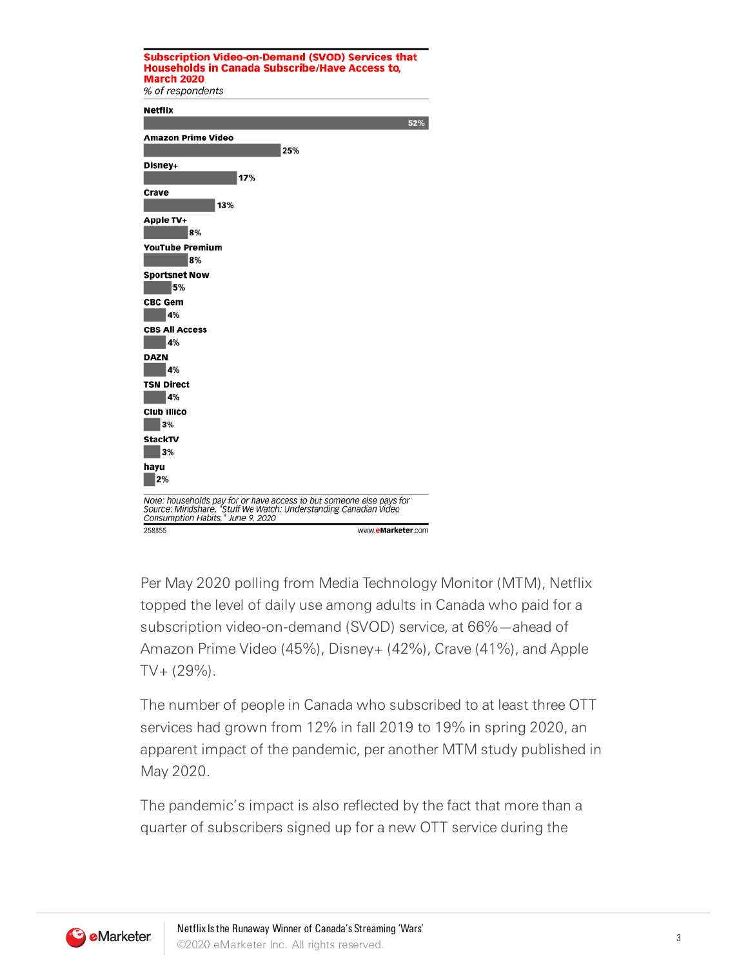

Per May 2020 polling from Media Technology Monitor (MTM), Netflix topped the level of daily use among adults in Canada who paid for a subscription video-on-demand (SVOD) service, at 66%—ahead of Amazon Prime Video (45%), Disney+ (42%), Crave (41%), and Apple  $TV + (29\%)$ .

The number of people in Canada who subscribed to at least three OTT services had grown from 12% in fall 2019 to 19% in spring 2020, an apparent impact of the pandemic, per another MTM study published in May 2020.

The pandemic's impact is also reflected by the fact that more than a quarter of subscribers signed up for a new OTT service during the